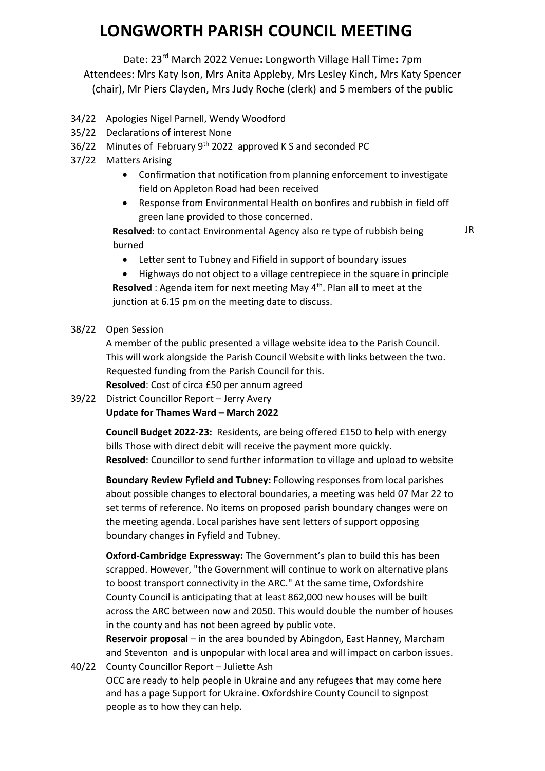Date: 23rd March 2022 Venue**:** Longworth Village Hall Time**:** 7pm

Attendees: Mrs Katy Ison, Mrs Anita Appleby, Mrs Lesley Kinch, Mrs Katy Spencer (chair), Mr Piers Clayden, Mrs Judy Roche (clerk) and 5 members of the public

- 34/22 Apologies Nigel Parnell, Wendy Woodford
- 35/22 Declarations of interest None
- 36/22 Minutes of February 9<sup>th</sup> 2022 approved K S and seconded PC
- 37/22 Matters Arising
	- Confirmation that notification from planning enforcement to investigate field on Appleton Road had been received
	- Response from Environmental Health on bonfires and rubbish in field off green lane provided to those concerned.

**Resolved**: to contact Environmental Agency also re type of rubbish being burned

JR

• Letter sent to Tubney and Fifield in support of boundary issues

• Highways do not object to a village centrepiece in the square in principle **Resolved** : Agenda item for next meeting May 4<sup>th</sup>. Plan all to meet at the junction at 6.15 pm on the meeting date to discuss.

#### 38/22 Open Session

A member of the public presented a village website idea to the Parish Council. This will work alongside the Parish Council Website with links between the two. Requested funding from the Parish Council for this.

**Resolved**: Cost of circa £50 per annum agreed

39/22 District Councillor Report – Jerry Avery **Update for Thames Ward – March 2022**

> **Council Budget 2022-23:** Residents, are being offered £150 to help with energy bills Those with direct debit will receive the payment more quickly. **Resolved**: Councillor to send further information to village and upload to website

> **Boundary Review Fyfield and Tubney:** Following responses from local parishes about possible changes to electoral boundaries, a meeting was held 07 Mar 22 to set terms of reference. No items on proposed parish boundary changes were on the meeting agenda. Local parishes have sent letters of support opposing boundary changes in Fyfield and Tubney.

> **Oxford-Cambridge Expressway:** The Government's plan to build this has been scrapped. However, "the Government will continue to work on alternative plans to boost transport connectivity in the ARC." At the same time, Oxfordshire County Council is anticipating that at least 862,000 new houses will be built across the ARC between now and 2050. This would double the number of houses in the county and has not been agreed by public vote.

**Reservoir proposal** – in the area bounded by Abingdon, East Hanney, Marcham and Steventon and is unpopular with local area and will impact on carbon issues. 40/22 County Councillor Report – Juliette Ash

OCC are ready to help people in Ukraine and any refugees that may come here and has a page [Support for Ukraine. Oxfordshire County Council](https://www.oxfordshire.gov.uk/council/support-ukraine) to signpost people as to how they can help.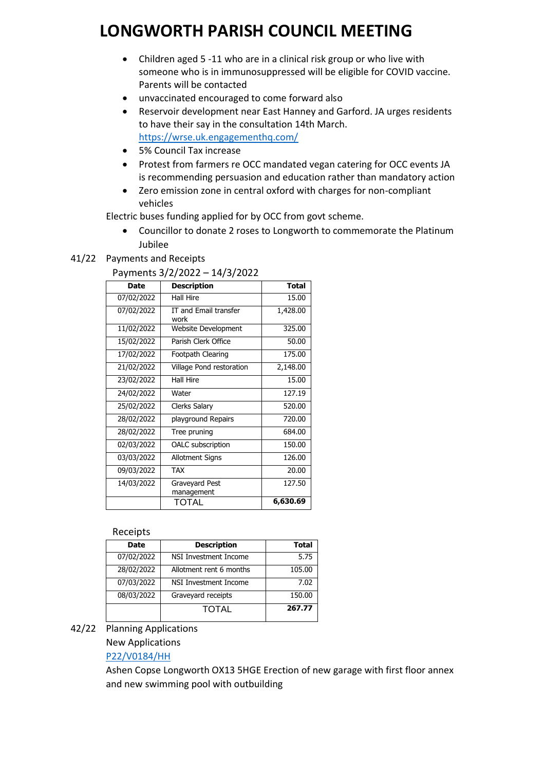- Children aged 5 -11 who are in a clinical risk group or who live with someone who is in immunosuppressed will be eligible for COVID vaccine. Parents will be contacted
- unvaccinated encouraged to come forward also
- Reservoir development near East Hanney and Garford. JA urges residents to have their say in the consultation 14th March. <https://wrse.uk.engagementhq.com/>
- 5% Council Tax increase
- Protest from farmers re OCC mandated vegan catering for OCC events JA is recommending persuasion and education rather than mandatory action
- Zero emission zone in central oxford with charges for non-compliant vehicles

Electric buses funding applied for by OCC from govt scheme.

• Councillor to donate 2 roses to Longworth to commemorate the Platinum Jubilee

### 41/22 Payments and Receipts

#### Payments 3/2/2022 – 14/3/2022

| Date       | <b>Description</b>            | <b>Total</b> |
|------------|-------------------------------|--------------|
| 07/02/2022 | <b>Hall Hire</b>              | 15.00        |
| 07/02/2022 | IT and Email transfer<br>work | 1,428.00     |
| 11/02/2022 | Website Development           | 325.00       |
| 15/02/2022 | Parish Clerk Office           | 50.00        |
| 17/02/2022 | Footpath Clearing             | 175.00       |
| 21/02/2022 | Village Pond restoration      | 2,148.00     |
| 23/02/2022 | <b>Hall Hire</b>              | 15.00        |
| 24/02/2022 | Water                         | 127.19       |
| 25/02/2022 | Clerks Salary                 | 520.00       |
| 28/02/2022 | playground Repairs            | 720.00       |
| 28/02/2022 | Tree pruning                  | 684.00       |
| 02/03/2022 | <b>OALC</b> subscription      | 150.00       |
| 03/03/2022 | <b>Allotment Signs</b>        | 126.00       |
| 09/03/2022 | <b>TAX</b>                    | 20.00        |
| 14/03/2022 | Graveyard Pest<br>management  | 127.50       |
|            | TOTAL                         | 6,630.69     |

#### **Receipts**

| <b>Date</b> | <b>Description</b>      | <b>Total</b> |
|-------------|-------------------------|--------------|
| 07/02/2022  | NSI Investment Income   | 5.75         |
| 28/02/2022  | Allotment rent 6 months | 105.00       |
| 07/03/2022  | NSI Investment Income   | 7.02         |
| 08/03/2022  | Graveyard receipts      | 150.00       |
|             | <b>TOTAL</b>            | 267.77       |

### 42/22 Planning Applications

### New Applications

### [P22/V0184/HH](https://data.whitehorsedc.gov.uk/java/support/Main.jsp?MODULE=ApplicationDetails&REF=P22/V0184/HH)

Ashen Copse Longworth OX13 5HGE Erection of new garage with first floor annex and new swimming pool with outbuilding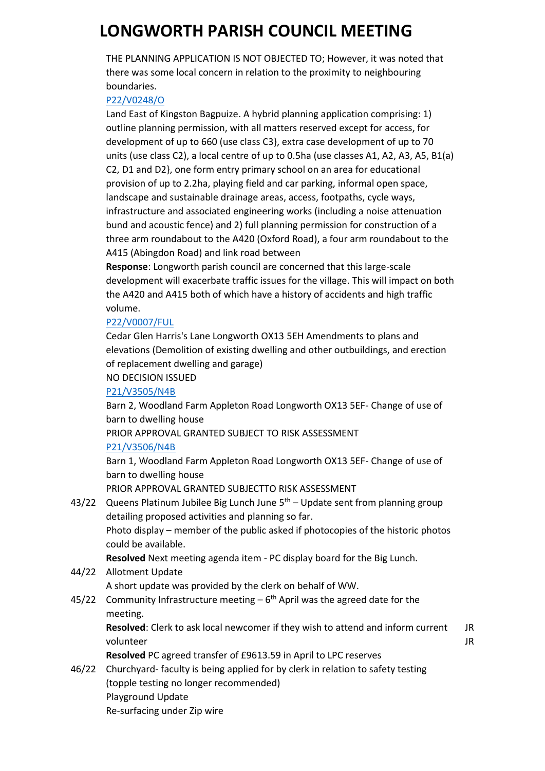THE PLANNING APPLICATION IS NOT OBJECTED TO; However, it was noted that there was some local concern in relation to the proximity to neighbouring boundaries.

### [P22/V0248/O](https://data.whitehorsedc.gov.uk/java/support/Main.jsp?MODULE=ApplicationDetails&REF=P22/V0248/O)

Land East of Kingston Bagpuize. A hybrid planning application comprising: 1) outline planning permission, with all matters reserved except for access, for development of up to 660 (use class C3}, extra case development of up to 70 units (use class C2), a local centre of up to 0.5ha (use classes A1, A2, A3, A5, B1(a) C2, D1 and D2}, one form entry primary school on an area for educational provision of up to 2.2ha, playing field and car parking, informal open space, landscape and sustainable drainage areas, access, footpaths, cycle ways, infrastructure and associated engineering works (including a noise attenuation bund and acoustic fence) and 2) full planning permission for construction of a three arm roundabout to the A420 (Oxford Road), a four arm roundabout to the A415 (Abingdon Road) and link road between

**Response**: Longworth parish council are concerned that this large-scale development will exacerbate traffic issues for the village. This will impact on both the A420 and A415 both of which have a history of accidents and high traffic volume.

### [P22/V0007/FUL](https://data.whitehorsedc.gov.uk/java/support/Main.jsp?MODULE=ApplicationDetails&REF=P22/V0007/FUL#exactline)

Cedar Glen Harris's Lane Longworth OX13 5EH Amendments to plans and elevations (Demolition of existing dwelling and other outbuildings, and erection of replacement dwelling and garage)

### NO DECISION ISSUED

### [P21/V3505/N4B](https://data.whitehorsedc.gov.uk/java/support/Main.jsp?MODULE=ApplicationDetails&REF=P21/V3505/N4B#exactline)

Barn 2, Woodland Farm Appleton Road Longworth OX13 5EF- Change of use of barn to dwelling house

PRIOR APPROVAL GRANTED SUBJECT TO RISK ASSESSMENT

### [P21/V3506/N4B](https://data.whitehorsedc.gov.uk/java/support/Main.jsp?MODULE=ApplicationDetails&REF=P21/V3506/N4B#exactline)

Barn 1, Woodland Farm Appleton Road Longworth OX13 5EF- Change of use of barn to dwelling house

PRIOR APPROVAL GRANTED SUBJECTTO RISK ASSESSMENT

43/22 Queens Platinum Jubilee Big Lunch June  $5<sup>th</sup>$  – Update sent from planning group detailing proposed activities and planning so far. Photo display – member of the public asked if photocopies of the historic photos could be available. **Resolved** Next meeting agenda item - PC display board for the Big Lunch.

- 44/22 Allotment Update A short update was provided by the clerk on behalf of WW.
- 45/22 Community Infrastructure meeting  $-6<sup>th</sup>$  April was the agreed date for the meeting.

**Resolved**: Clerk to ask local newcomer if they wish to attend and inform current volunteer JR JR

**Resolved** PC agreed transfer of £9613.59 in April to LPC reserves

46/22 Churchyard- faculty is being applied for by clerk in relation to safety testing (topple testing no longer recommended) Playground Update Re-surfacing under Zip wire